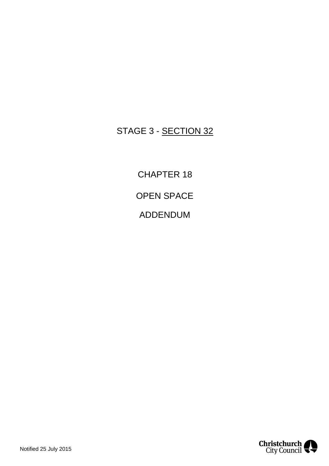## STAGE 3 - SECTION 32

CHAPTER 18 OPEN SPACE ADDENDUM

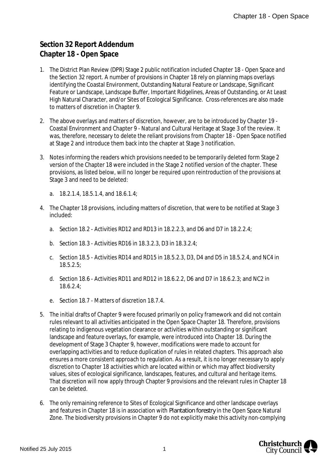## **Section 32 Report Addendum Chapter 18 - Open Space**

- 1. The District Plan Review (DPR) Stage 2 public notification included Chapter 18 Open Space and the Section 32 report. A number of provisions in Chapter 18 rely on planning maps overlays identifying the Coastal Environment, Outstanding Natural Feature or Landscape, Significant Feature or Landscape, Landscape Buffer, Important Ridgelines, Areas of Outstanding, or At Least High Natural Character, and/or Sites of Ecological Significance. Cross-references are also made to matters of discretion in Chapter 9.
- 2. The above overlays and matters of discretion, however, are to be introduced by Chapter 19 Coastal Environment and Chapter 9 - Natural and Cultural Heritage at Stage 3 of the review. It was, therefore, necessary to delete the reliant provisions from Chapter 18 - Open Space notified at Stage 2 and introduce them back into the chapter at Stage 3 notification.
- 3. Notes informing the readers which provisions needed to be temporarily deleted form Stage 2 version of the Chapter 18 were included in the Stage 2 notified version of the chapter. These provisions, as listed below, will no longer be required upon reintroduction of the provisions at Stage 3 and need to be deleted:
	- a. 18.2.1.4, 18.5.1.4, and 18.6.1.4;
- 4. The Chapter 18 provisions, including matters of discretion, that were to be notified at Stage 3 included:
	- a. Section 18.2 Activities RD12 and RD13 in 18.2.2.3, and D6 and D7 in 18.2.2.4;
	- b. Section 18.3 Activities RD16 in 18.3.2.3, D3 in 18.3.2.4;
	- c. Section 18.5 Activities RD14 and RD15 in 18.5.2.3, D3, D4 and D5 in 18.5.2.4, and NC4 in 18.5.2.5;
	- d. Section 18.6 Activities RD11 and RD12 in 18.6.2.2, D6 and D7 in 18.6.2.3; and NC2 in 18.6.2.4;
	- e. Section 18.7 Matters of discretion 18.7.4.
- 5. The initial drafts of Chapter 9 were focused primarily on policy framework and did not contain rules relevant to all activities anticipated in the Open Space Chapter 18. Therefore, provisions relating to indigenous vegetation clearance or activities within outstanding or significant landscape and feature overlays, for example, were introduced into Chapter 18. During the development of Stage 3 Chapter 9, however, modifications were made to account for overlapping activities and to reduce duplication of rules in related chapters. This approach also ensures a more consistent approach to regulation. As a result, it is no longer necessary to apply discretion to Chapter 18 activities which are located within or which may affect biodiversity values, sites of ecological significance, landscapes, features, and cultural and heritage items. That discretion will now apply through Chapter 9 provisions and the relevant rules in Chapter 18 can be deleted.
- 6. The only remaining reference to Sites of Ecological Significance and other landscape overlays and features in Chapter 18 is in association with *Plantation forestry* in the Open Space Natural Zone. The biodiversity provisions in Chapter 9 do not explicitly make this activity non-complying